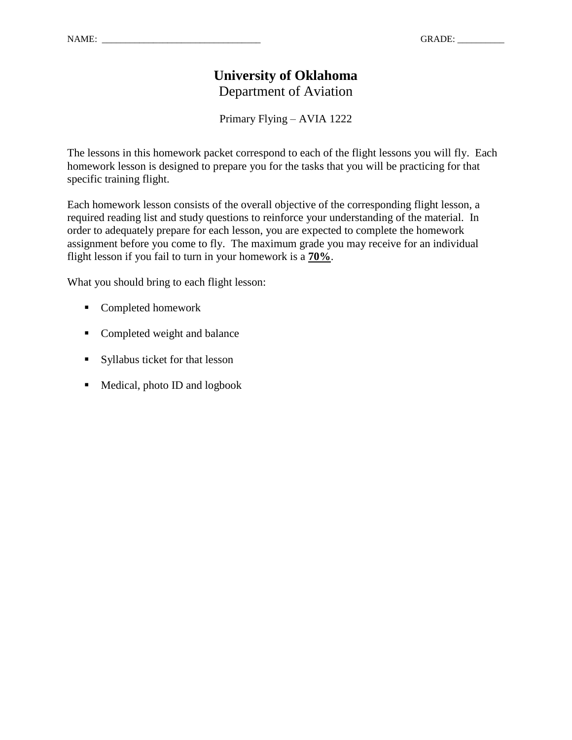# **University of Oklahoma** Department of Aviation

Primary Flying – AVIA 1222

The lessons in this homework packet correspond to each of the flight lessons you will fly. Each homework lesson is designed to prepare you for the tasks that you will be practicing for that specific training flight.

Each homework lesson consists of the overall objective of the corresponding flight lesson, a required reading list and study questions to reinforce your understanding of the material. In order to adequately prepare for each lesson, you are expected to complete the homework assignment before you come to fly. The maximum grade you may receive for an individual flight lesson if you fail to turn in your homework is a **70%**.

What you should bring to each flight lesson:

- Completed homework
- **Completed weight and balance**
- Syllabus ticket for that lesson
- Medical, photo ID and logbook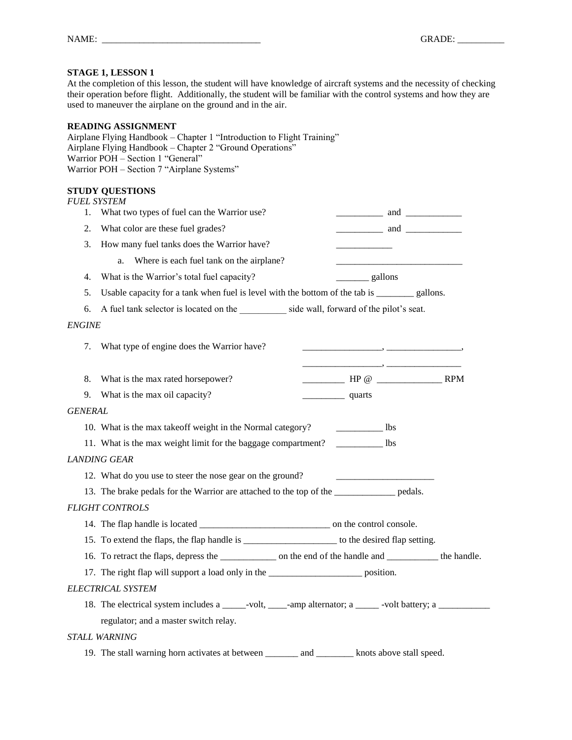At the completion of this lesson, the student will have knowledge of aircraft systems and the necessity of checking their operation before flight. Additionally, the student will be familiar with the control systems and how they are used to maneuver the airplane on the ground and in the air.

#### **READING ASSIGNMENT**

Airplane Flying Handbook – Chapter 1 "Introduction to Flight Training" Airplane Flying Handbook – Chapter 2 "Ground Operations" Warrior POH – Section 1 "General" Warrior POH – Section 7 "Airplane Systems"

|                       | <b>FUEL SYSTEM</b>                                                                                            |                                                                                                                                                                                      |  |  |  |  |  |  |  |  |
|-----------------------|---------------------------------------------------------------------------------------------------------------|--------------------------------------------------------------------------------------------------------------------------------------------------------------------------------------|--|--|--|--|--|--|--|--|
| 1.                    | What two types of fuel can the Warrior use?                                                                   | $\frac{1}{2}$ and $\frac{1}{2}$ and $\frac{1}{2}$                                                                                                                                    |  |  |  |  |  |  |  |  |
| 2.                    | What color are these fuel grades?                                                                             | $\qquad \qquad \text{and} \qquad$                                                                                                                                                    |  |  |  |  |  |  |  |  |
| 3.                    | How many fuel tanks does the Warrior have?                                                                    |                                                                                                                                                                                      |  |  |  |  |  |  |  |  |
|                       | Where is each fuel tank on the airplane?<br>a.                                                                |                                                                                                                                                                                      |  |  |  |  |  |  |  |  |
| 4.                    | What is the Warrior's total fuel capacity?                                                                    |                                                                                                                                                                                      |  |  |  |  |  |  |  |  |
| 5.                    | Usable capacity for a tank when fuel is level with the bottom of the tab is ________ gallons.                 |                                                                                                                                                                                      |  |  |  |  |  |  |  |  |
| 6.                    | A fuel tank selector is located on the side wall, forward of the pilot's seat.                                |                                                                                                                                                                                      |  |  |  |  |  |  |  |  |
| <i>ENGINE</i>         |                                                                                                               |                                                                                                                                                                                      |  |  |  |  |  |  |  |  |
| 7.                    | What type of engine does the Warrior have?                                                                    | $\overline{\phantom{a}}$ , and the contract of the contract of $\overline{\phantom{a}}$ , and $\overline{\phantom{a}}$ , and $\overline{\phantom{a}}$ , and $\overline{\phantom{a}}$ |  |  |  |  |  |  |  |  |
|                       |                                                                                                               |                                                                                                                                                                                      |  |  |  |  |  |  |  |  |
| 8.                    | What is the max rated horsepower?                                                                             | $\frac{1}{2}$ HP @ $\frac{1}{2}$ RPM                                                                                                                                                 |  |  |  |  |  |  |  |  |
| 9.                    | What is the max oil capacity?                                                                                 | quarts                                                                                                                                                                               |  |  |  |  |  |  |  |  |
| <i><b>GENERAL</b></i> |                                                                                                               |                                                                                                                                                                                      |  |  |  |  |  |  |  |  |
|                       | 10. What is the max takeoff weight in the Normal category?                                                    | $\frac{1}{1}$ lbs                                                                                                                                                                    |  |  |  |  |  |  |  |  |
|                       | 11. What is the max weight limit for the baggage compartment? ___________ lbs                                 |                                                                                                                                                                                      |  |  |  |  |  |  |  |  |
|                       | LANDING GEAR                                                                                                  |                                                                                                                                                                                      |  |  |  |  |  |  |  |  |
|                       | 12. What do you use to steer the nose gear on the ground?                                                     |                                                                                                                                                                                      |  |  |  |  |  |  |  |  |
|                       | 13. The brake pedals for the Warrior are attached to the top of the _____________ pedals.                     |                                                                                                                                                                                      |  |  |  |  |  |  |  |  |
|                       | <b>FLIGHT CONTROLS</b>                                                                                        |                                                                                                                                                                                      |  |  |  |  |  |  |  |  |
|                       |                                                                                                               |                                                                                                                                                                                      |  |  |  |  |  |  |  |  |
|                       | 15. To extend the flaps, the flap handle is _______________________ to the desired flap setting.              |                                                                                                                                                                                      |  |  |  |  |  |  |  |  |
|                       | 16. To retract the flaps, depress the ________________ on the end of the handle and _____________ the handle. |                                                                                                                                                                                      |  |  |  |  |  |  |  |  |
|                       | 17. The right flap will support a load only in the _______________________ position.                          |                                                                                                                                                                                      |  |  |  |  |  |  |  |  |
|                       | ELECTRICAL SYSTEM                                                                                             |                                                                                                                                                                                      |  |  |  |  |  |  |  |  |
|                       | 18. The electrical system includes a _____-volt, ____-amp alternator; a ______-volt battery; a ___________    |                                                                                                                                                                                      |  |  |  |  |  |  |  |  |
|                       | regulator; and a master switch relay.                                                                         |                                                                                                                                                                                      |  |  |  |  |  |  |  |  |
|                       | STALL WARNING                                                                                                 |                                                                                                                                                                                      |  |  |  |  |  |  |  |  |
|                       | 19. The stall warning horn activates at between _____<br>and                                                  | ______ knots above stall speed.                                                                                                                                                      |  |  |  |  |  |  |  |  |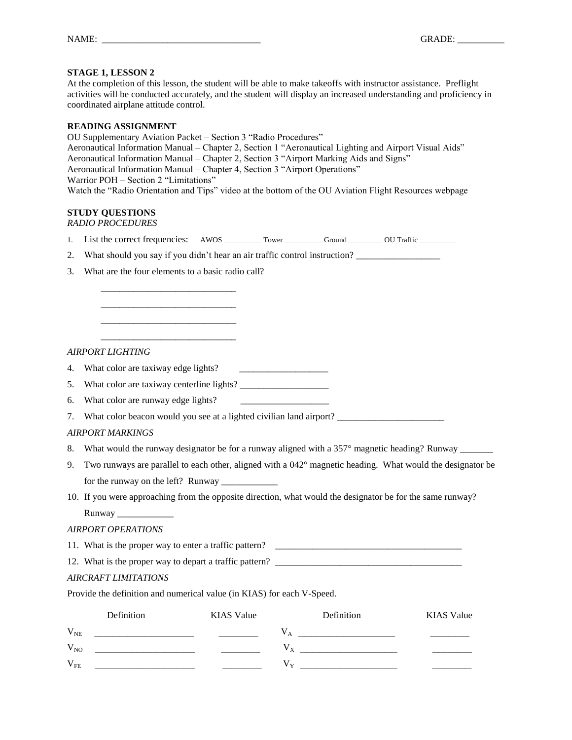At the completion of this lesson, the student will be able to make takeoffs with instructor assistance. Preflight activities will be conducted accurately, and the student will display an increased understanding and proficiency in coordinated airplane attitude control.

#### **READING ASSIGNMENT**

OU Supplementary Aviation Packet – Section 3 "Radio Procedures" Aeronautical Information Manual – Chapter 2, Section 1 "Aeronautical Lighting and Airport Visual Aids" Aeronautical Information Manual – Chapter 2, Section 3 "Airport Marking Aids and Signs" Aeronautical Information Manual – Chapter 4, Section 3 "Airport Operations" Warrior POH – Section 2 "Limitations" Watch the "Radio Orientation and Tips" video at the bottom of the OU Aviation Flight Resources webpage

#### **STUDY QUESTIONS**

*RADIO PROCEDURES*

- 1. List the correct frequencies: AWOS \_\_\_\_\_\_\_\_\_\_ Tower \_\_\_\_\_\_\_\_\_\_ Ground \_\_\_\_\_\_\_\_ OU Traffic \_\_\_\_\_\_\_\_\_\_\_\_\_
- 2. What should you say if you didn't hear an air traffic control instruction? \_\_\_\_\_\_\_\_\_\_\_\_\_\_\_\_\_\_
- 3. What are the four elements to a basic radio call? \_\_\_\_\_\_\_\_\_\_\_\_\_\_\_\_\_\_\_\_\_\_\_\_\_\_\_\_\_

\_\_\_\_\_\_\_\_\_\_\_\_\_\_\_\_\_\_\_\_\_\_\_\_\_\_\_\_\_ \_\_\_\_\_\_\_\_\_\_\_\_\_\_\_\_\_\_\_\_\_\_\_\_\_\_\_\_\_ \_\_\_\_\_\_\_\_\_\_\_\_\_\_\_\_\_\_\_\_\_\_\_\_\_\_\_\_\_

#### *AIRPORT LIGHTING*

| What color are taxiway edge lights?<br>4. |  |
|-------------------------------------------|--|
|-------------------------------------------|--|

- 5. What color are taxiway centerline lights? \_\_\_\_\_\_\_\_\_\_\_\_\_\_\_\_\_\_\_
- 6. What color are runway edge lights?

7. What color beacon would you see at a lighted civilian land airport? \_\_\_\_\_\_\_\_\_\_\_\_\_\_\_\_\_\_\_\_\_\_\_

#### *AIRPORT MARKINGS*

- 8. What would the runway designator be for a runway aligned with a 357° magnetic heading? Runway \_\_\_\_\_\_\_\_\_\_\_\_\_
- 9. Two runways are parallel to each other, aligned with a 042° magnetic heading. What would the designator be for the runway on the left? Runway \_\_\_\_\_\_\_\_\_\_\_\_
- 10. If you were approaching from the opposite direction, what would the designator be for the same runway? Runway \_\_\_\_\_\_\_\_\_\_\_\_

#### *AIRPORT OPERATIONS*

11. What is the proper way to enter a traffic pattern? \_\_\_\_\_\_\_\_\_\_\_\_\_\_\_\_\_\_\_\_\_\_\_\_\_\_\_\_\_\_\_\_\_\_\_\_\_\_\_\_

12. What is the proper way to depart a traffic pattern?

#### *AIRCRAFT LIMITATIONS*

Provide the definition and numerical value (in KIAS) for each V-Speed.

|                  | Definition | <b>KIAS</b> Value | Definition | <b>KIAS</b> Value |  |
|------------------|------------|-------------------|------------|-------------------|--|
| $\rm V_{\rm NE}$ |            |                   |            |                   |  |
| $V_{NO}$         |            |                   |            | _______________   |  |
| $V_{FE}$         |            |                   |            | _____             |  |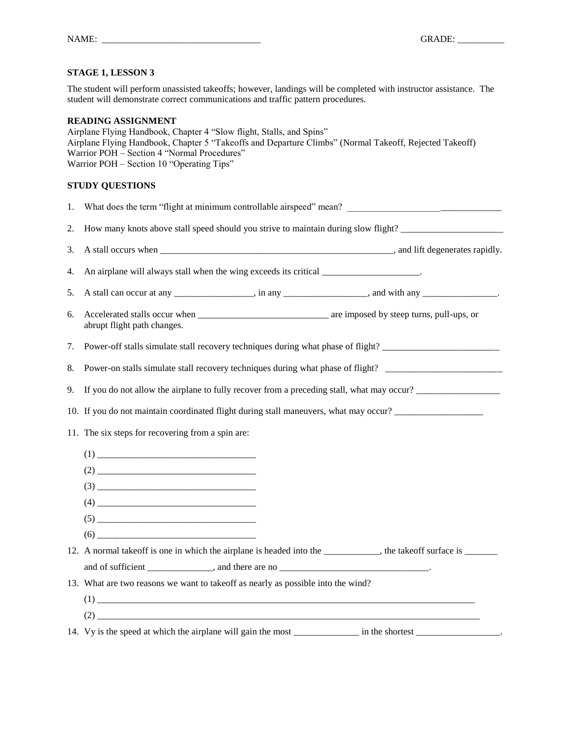The student will perform unassisted takeoffs; however, landings will be completed with instructor assistance. The student will demonstrate correct communications and traffic pattern procedures.

#### **READING ASSIGNMENT**

Airplane Flying Handbook, Chapter 4 "Slow flight, Stalls, and Spins" Airplane Flying Handbook, Chapter 5 "Takeoffs and Departure Climbs" (Normal Takeoff, Rejected Takeoff) Warrior POH – Section 4 "Normal Procedures" Warrior POH – Section 10 "Operating Tips"

| 1. | What does the term "flight at minimum controllable airspeed" mean?                                                                                                                                                                                                                                                                                                                                       |  |  |  |  |  |
|----|----------------------------------------------------------------------------------------------------------------------------------------------------------------------------------------------------------------------------------------------------------------------------------------------------------------------------------------------------------------------------------------------------------|--|--|--|--|--|
| 2. | How many knots above stall speed should you strive to maintain during slow flight?                                                                                                                                                                                                                                                                                                                       |  |  |  |  |  |
| 3. |                                                                                                                                                                                                                                                                                                                                                                                                          |  |  |  |  |  |
| 4. | An airplane will always stall when the wing exceeds its critical ___________________.                                                                                                                                                                                                                                                                                                                    |  |  |  |  |  |
| 5. | A stall can occur at any ________________, in any _______________, and with any _____________.                                                                                                                                                                                                                                                                                                           |  |  |  |  |  |
| 6. | abrupt flight path changes.                                                                                                                                                                                                                                                                                                                                                                              |  |  |  |  |  |
| 7. | Power-off stalls simulate stall recovery techniques during what phase of flight?                                                                                                                                                                                                                                                                                                                         |  |  |  |  |  |
| 8. | Power-on stalls simulate stall recovery techniques during what phase of flight? ____________________                                                                                                                                                                                                                                                                                                     |  |  |  |  |  |
| 9. | If you do not allow the airplane to fully recover from a preceding stall, what may occur?                                                                                                                                                                                                                                                                                                                |  |  |  |  |  |
|    | 10. If you do not maintain coordinated flight during stall maneuvers, what may occur?                                                                                                                                                                                                                                                                                                                    |  |  |  |  |  |
|    | 11. The six steps for recovering from a spin are:                                                                                                                                                                                                                                                                                                                                                        |  |  |  |  |  |
|    | (1)                                                                                                                                                                                                                                                                                                                                                                                                      |  |  |  |  |  |
|    | $(2) \qquad \qquad \overbrace{\qquad \qquad }$                                                                                                                                                                                                                                                                                                                                                           |  |  |  |  |  |
|    | $(3) \qquad \qquad \overbrace{\qquad \qquad }$                                                                                                                                                                                                                                                                                                                                                           |  |  |  |  |  |
|    |                                                                                                                                                                                                                                                                                                                                                                                                          |  |  |  |  |  |
|    | $(5) \begin{tabular}{ c c c c } \hline \rule{0pt}{8ex} & \rule{0pt}{8ex} \rule{0pt}{8ex} \rule{0pt}{8ex} \rule{0pt}{8ex} \rule{0pt}{8ex} \rule{0pt}{8ex} \rule{0pt}{8ex} \rule{0pt}{8ex} \rule{0pt}{8ex} \rule{0pt}{8ex} \rule{0pt}{8ex} \rule{0pt}{8ex} \rule{0pt}{8ex} \rule{0pt}{8ex} \rule{0pt}{8ex} \rule{0pt}{8ex} \rule{0pt}{8ex} \rule{0pt}{8ex} \rule{0pt}{8ex} \rule{0pt}{8ex} \rule{0pt}{8ex$ |  |  |  |  |  |
|    | $(6) \qquad \qquad \overbrace{\qquad \qquad }$                                                                                                                                                                                                                                                                                                                                                           |  |  |  |  |  |
|    | 12. A normal takeoff is one in which the airplane is headed into the ___________, the takeoff surface is ________                                                                                                                                                                                                                                                                                        |  |  |  |  |  |
|    |                                                                                                                                                                                                                                                                                                                                                                                                          |  |  |  |  |  |
|    | 13. What are two reasons we want to takeoff as nearly as possible into the wind?                                                                                                                                                                                                                                                                                                                         |  |  |  |  |  |
|    |                                                                                                                                                                                                                                                                                                                                                                                                          |  |  |  |  |  |
|    |                                                                                                                                                                                                                                                                                                                                                                                                          |  |  |  |  |  |
|    | 14. Vy is the speed at which the airplane will gain the most ___________ in the shortest _________________.                                                                                                                                                                                                                                                                                              |  |  |  |  |  |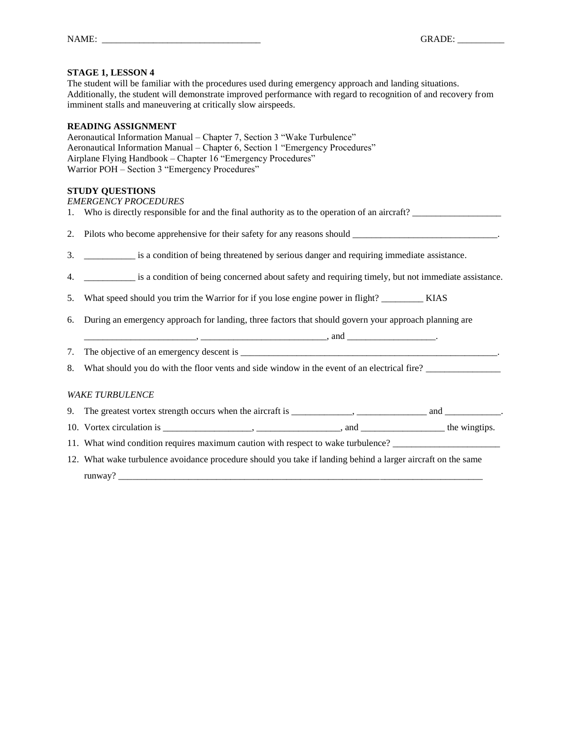The student will be familiar with the procedures used during emergency approach and landing situations. Additionally, the student will demonstrate improved performance with regard to recognition of and recovery from imminent stalls and maneuvering at critically slow airspeeds.

#### **READING ASSIGNMENT**

Aeronautical Information Manual – Chapter 7, Section 3 "Wake Turbulence" Aeronautical Information Manual – Chapter 6, Section 1 "Emergency Procedures" Airplane Flying Handbook – Chapter 16 "Emergency Procedures" Warrior POH – Section 3 "Emergency Procedures"

# **STUDY QUESTIONS**

| <b>EMERGENCY PROCEDURES</b>                                                                    |
|------------------------------------------------------------------------------------------------|
| 1. Who is directly responsible for and the final authority as to the operation of an aircraft? |
| 2. Pilots who become apprehensive for their safety for any reasons should                      |
| is a condition of being threatened by serious danger and requiring immediate assistance.       |

- 4. \_\_\_\_\_\_\_\_\_\_\_ is a condition of being concerned about safety and requiring timely, but not immediate assistance.
- 5. What speed should you trim the Warrior for if you lose engine power in flight? \_\_\_\_\_\_\_\_\_ KIAS
- 6. During an emergency approach for landing, three factors that should govern your approach planning are
- \_\_\_\_\_\_\_\_\_\_\_\_\_\_\_\_\_\_\_\_\_\_\_\_, \_\_\_\_\_\_\_\_\_\_\_\_\_\_\_\_\_\_\_\_\_\_\_\_\_\_\_, and \_\_\_\_\_\_\_\_\_\_\_\_\_\_\_\_\_\_\_.
- 7. The objective of an emergency descent is \_\_\_\_\_\_\_\_\_\_\_\_\_\_\_\_\_\_\_\_\_\_\_\_\_\_\_\_\_\_\_\_\_\_\_\_\_\_\_\_\_\_\_\_\_\_\_\_\_\_\_\_\_\_\_.
- 8. What should you do with the floor vents and side window in the event of an electrical fire?

#### *WAKE TURBULENCE*

- 9. The greatest vortex strength occurs when the aircraft is \_\_\_\_\_\_\_\_\_\_\_, \_\_\_\_\_\_\_\_\_\_\_\_\_\_\_\_ and \_\_\_\_\_\_\_\_\_\_\_\_.
- 10. Vortex circulation is \_\_\_\_\_\_\_\_\_\_\_\_\_\_\_\_\_, \_\_\_\_\_\_\_\_\_\_\_\_\_\_, and \_\_\_\_\_\_\_\_\_\_\_\_\_\_\_\_ the wingtips.
- 11. What wind condition requires maximum caution with respect to wake turbulence?
- 12. What wake turbulence avoidance procedure should you take if landing behind a larger aircraft on the same runway?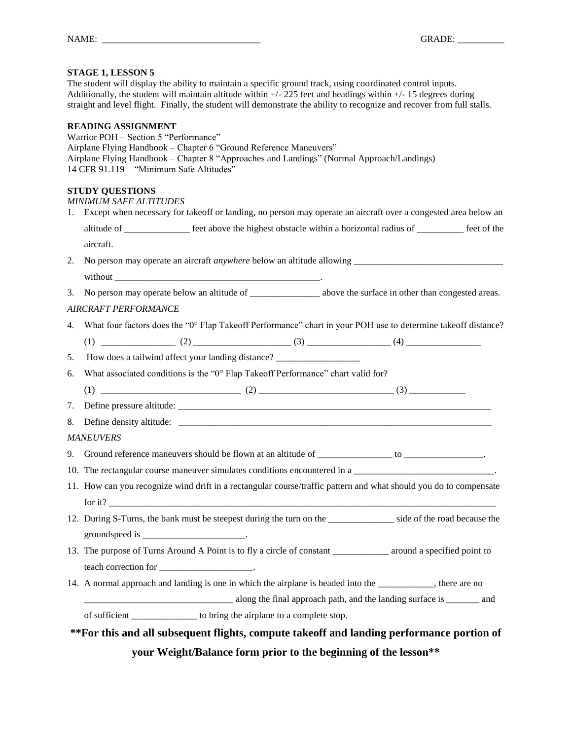The student will display the ability to maintain a specific ground track, using coordinated control inputs. Additionally, the student will maintain altitude within +/- 225 feet and headings within +/- 15 degrees during straight and level flight. Finally, the student will demonstrate the ability to recognize and recover from full stalls.

#### **READING ASSIGNMENT**

Warrior POH – Section 5 "Performance" Airplane Flying Handbook – Chapter 6 "Ground Reference Maneuvers" Airplane Flying Handbook – Chapter 8 "Approaches and Landings" (Normal Approach/Landings) 14 CFR 91.119 "Minimum Safe Altitudes"

# **STUDY QUESTIONS**

|    | 1. Except when necessary for takeoff or landing, no person may operate an aircraft over a congested area below an         |  |  |  |  |  |  |
|----|---------------------------------------------------------------------------------------------------------------------------|--|--|--|--|--|--|
|    | altitude of <u>example a</u> feet above the highest obstacle within a horizontal radius of <u>example and</u> feet of the |  |  |  |  |  |  |
|    | aircraft.                                                                                                                 |  |  |  |  |  |  |
| 2. |                                                                                                                           |  |  |  |  |  |  |
|    |                                                                                                                           |  |  |  |  |  |  |
| 3. | No person may operate below an altitude of __________________ above the surface in other than congested areas.            |  |  |  |  |  |  |
|    | <b>AIRCRAFT PERFORMANCE</b>                                                                                               |  |  |  |  |  |  |
| 4. | What four factors does the "0° Flap Takeoff Performance" chart in your POH use to determine takeoff distance?             |  |  |  |  |  |  |
|    |                                                                                                                           |  |  |  |  |  |  |
| 5. | How does a tailwind affect your landing distance? _______________________________                                         |  |  |  |  |  |  |
| 6. | What associated conditions is the "0° Flap Takeoff Performance" chart valid for?                                          |  |  |  |  |  |  |
|    |                                                                                                                           |  |  |  |  |  |  |
| 7. |                                                                                                                           |  |  |  |  |  |  |
| 8. |                                                                                                                           |  |  |  |  |  |  |
|    | <b>MANEUVERS</b>                                                                                                          |  |  |  |  |  |  |
| 9. |                                                                                                                           |  |  |  |  |  |  |
|    |                                                                                                                           |  |  |  |  |  |  |
|    | 11. How can you recognize wind drift in a rectangular course/traffic pattern and what should you do to compensate         |  |  |  |  |  |  |
|    |                                                                                                                           |  |  |  |  |  |  |
|    | 12. During S-Turns, the bank must be steepest during the turn on the side of the road because the                         |  |  |  |  |  |  |
|    | groundspeed is $\frac{1}{2}$                                                                                              |  |  |  |  |  |  |
|    | 13. The purpose of Turns Around A Point is to fly a circle of constant ___________ around a specified point to            |  |  |  |  |  |  |
|    | teach correction for ______________________.                                                                              |  |  |  |  |  |  |
|    | 14. A normal approach and landing is one in which the airplane is headed into the ___________, there are no               |  |  |  |  |  |  |
|    | along the final approach path, and the landing surface is ________ and                                                    |  |  |  |  |  |  |
|    | of sufficient ______________ to bring the airplane to a complete stop.                                                    |  |  |  |  |  |  |
|    | **For this and all subsequent flights, compute take off and landing performance portion of                                |  |  |  |  |  |  |

**your Weight/Balance form prior to the beginning of the lesson\*\***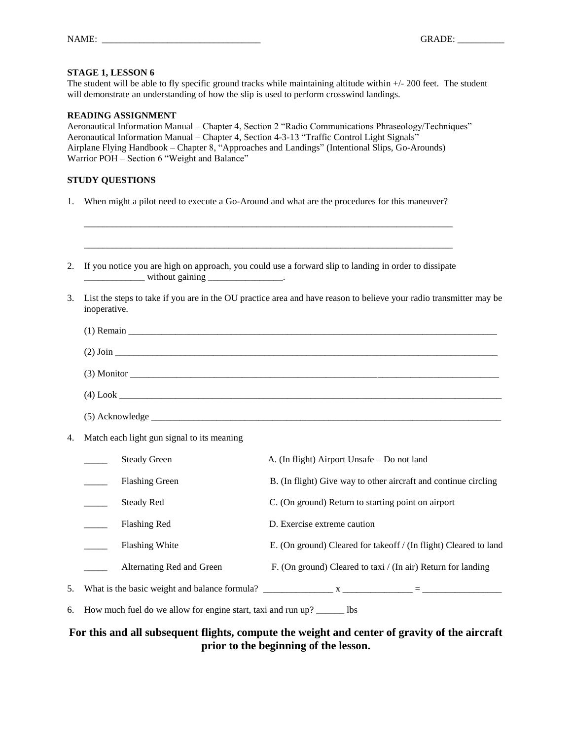The student will be able to fly specific ground tracks while maintaining altitude within  $+/-200$  feet. The student will demonstrate an understanding of how the slip is used to perform crosswind landings.

#### **READING ASSIGNMENT**

Aeronautical Information Manual – Chapter 4, Section 2 "Radio Communications Phraseology/Techniques" Aeronautical Information Manual – Chapter 4, Section 4-3-13 "Traffic Control Light Signals" Airplane Flying Handbook – Chapter 8, "Approaches and Landings" (Intentional Slips, Go-Arounds) Warrior POH – Section 6 "Weight and Balance"

# **STUDY QUESTIONS**

1. When might a pilot need to execute a Go-Around and what are the procedures for this maneuver?

\_\_\_\_\_\_\_\_\_\_\_\_\_\_\_\_\_\_\_\_\_\_\_\_\_\_\_\_\_\_\_\_\_\_\_\_\_\_\_\_\_\_\_\_\_\_\_\_\_\_\_\_\_\_\_\_\_\_\_\_\_\_\_\_\_\_\_\_\_\_\_\_\_\_\_\_\_\_\_

| 2. | If you notice you are high on approach, you could use a forward slip to landing in order to dissipate<br><u>_______________</u> without gaining ___________________. |                                            |                                                                                                                    |  |  |  |  |  |
|----|----------------------------------------------------------------------------------------------------------------------------------------------------------------------|--------------------------------------------|--------------------------------------------------------------------------------------------------------------------|--|--|--|--|--|
| 3. | inoperative.                                                                                                                                                         |                                            | List the steps to take if you are in the OU practice area and have reason to believe your radio transmitter may be |  |  |  |  |  |
|    |                                                                                                                                                                      |                                            |                                                                                                                    |  |  |  |  |  |
|    |                                                                                                                                                                      |                                            |                                                                                                                    |  |  |  |  |  |
|    |                                                                                                                                                                      |                                            |                                                                                                                    |  |  |  |  |  |
|    |                                                                                                                                                                      |                                            |                                                                                                                    |  |  |  |  |  |
|    |                                                                                                                                                                      |                                            |                                                                                                                    |  |  |  |  |  |
| 4. |                                                                                                                                                                      | Match each light gun signal to its meaning |                                                                                                                    |  |  |  |  |  |
|    |                                                                                                                                                                      | <b>Steady Green</b>                        | A. (In flight) Airport Unsafe - Do not land                                                                        |  |  |  |  |  |
|    |                                                                                                                                                                      | <b>Flashing Green</b>                      | B. (In flight) Give way to other aircraft and continue circling                                                    |  |  |  |  |  |
|    |                                                                                                                                                                      | <b>Steady Red</b>                          | C. (On ground) Return to starting point on airport                                                                 |  |  |  |  |  |
|    |                                                                                                                                                                      | Flashing Red                               | D. Exercise extreme caution                                                                                        |  |  |  |  |  |
|    |                                                                                                                                                                      | Flashing White                             | E. (On ground) Cleared for takeoff / (In flight) Cleared to land                                                   |  |  |  |  |  |
|    |                                                                                                                                                                      | Alternating Red and Green                  | F. (On ground) Cleared to taxi / (In air) Return for landing                                                       |  |  |  |  |  |
| 5. |                                                                                                                                                                      |                                            |                                                                                                                    |  |  |  |  |  |

6. How much fuel do we allow for engine start, taxi and run up? \_\_\_\_\_\_ lbs

# **For this and all subsequent flights, compute the weight and center of gravity of the aircraft prior to the beginning of the lesson.**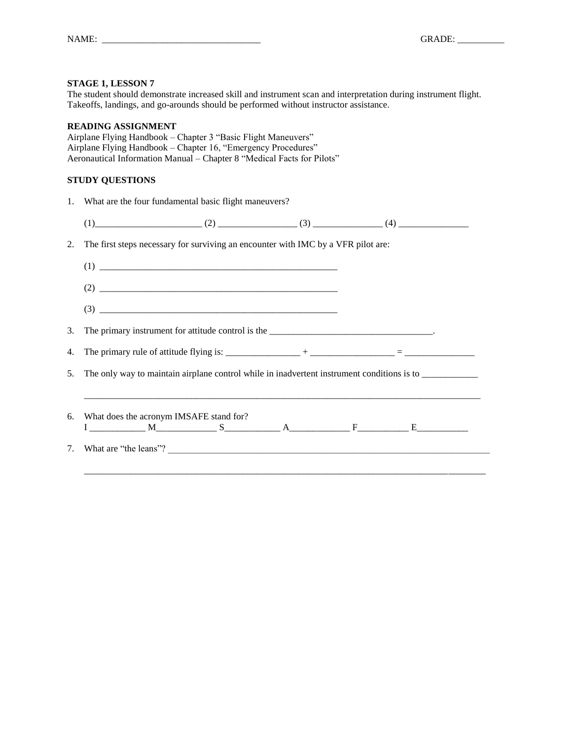The student should demonstrate increased skill and instrument scan and interpretation during instrument flight. Takeoffs, landings, and go-arounds should be performed without instructor assistance.

#### **READING ASSIGNMENT**

Airplane Flying Handbook – Chapter 3 "Basic Flight Maneuvers" Airplane Flying Handbook – Chapter 16, "Emergency Procedures" Aeronautical Information Manual – Chapter 8 "Medical Facts for Pilots"

1. What are the four fundamental basic flight maneuvers?

|    | $(1)$ (1) (1) (2) (3) (3) (4) (4) (4)                                                                |  |  |
|----|------------------------------------------------------------------------------------------------------|--|--|
|    | The first steps necessary for surviving an encounter with IMC by a VFR pilot are:                    |  |  |
|    |                                                                                                      |  |  |
|    |                                                                                                      |  |  |
|    |                                                                                                      |  |  |
|    |                                                                                                      |  |  |
|    |                                                                                                      |  |  |
|    | The only way to maintain airplane control while in inadvertent instrument conditions is to _________ |  |  |
| 6. | What does the acronym IMSAFE stand for?                                                              |  |  |
|    | $I$ $M$ $S$ $A$ $F$ $F$ $E$ $E$                                                                      |  |  |
| 7. | What are "the leans"?                                                                                |  |  |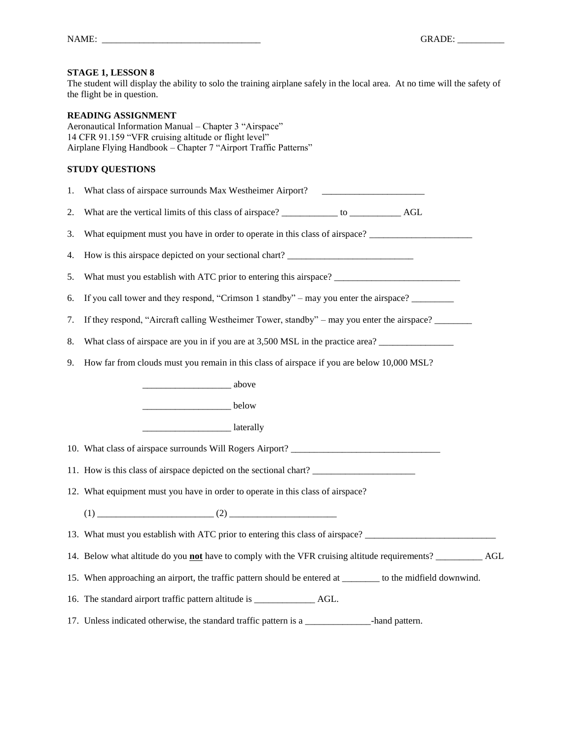The student will display the ability to solo the training airplane safely in the local area. At no time will the safety of the flight be in question.

# **READING ASSIGNMENT**

Aeronautical Information Manual – Chapter 3 "Airspace" 14 CFR 91.159 "VFR cruising altitude or flight level" Airplane Flying Handbook – Chapter 7 "Airport Traffic Patterns"

| 1. | What class of airspace surrounds Max Westheimer Airport? ________________________                              |
|----|----------------------------------------------------------------------------------------------------------------|
| 2. |                                                                                                                |
| 3. | What equipment must you have in order to operate in this class of airspace?                                    |
| 4. | How is this airspace depicted on your sectional chart? __________________________                              |
| 5. |                                                                                                                |
| 6. | If you call tower and they respond, "Crimson 1 standby" – may you enter the airspace? ________                 |
| 7. | If they respond, "Aircraft calling Westheimer Tower, standby" – may you enter the airspace?                    |
| 8. | What class of airspace are you in if you are at 3,500 MSL in the practice area?                                |
| 9. | How far from clouds must you remain in this class of airspace if you are below 10,000 MSL?                     |
|    |                                                                                                                |
|    | <u>__________________</u> below                                                                                |
|    | <b>Example 2</b> aterally                                                                                      |
|    | 10. What class of airspace surrounds Will Rogers Airport? _______________________                              |
|    | 11. How is this class of airspace depicted on the sectional chart?                                             |
|    | 12. What equipment must you have in order to operate in this class of airspace?                                |
|    |                                                                                                                |
|    | 13. What must you establish with ATC prior to entering this class of airspace? _______________________________ |
|    |                                                                                                                |
|    | 15. When approaching an airport, the traffic pattern should be entered at _______ to the midfield downwind.    |
|    |                                                                                                                |
|    | 17. Unless indicated otherwise, the standard traffic pattern is a<br>-hand pattern.                            |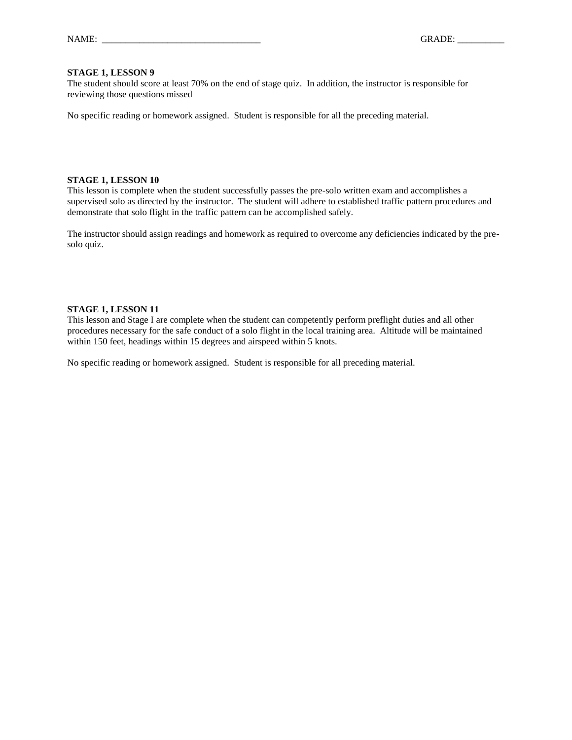The student should score at least 70% on the end of stage quiz. In addition, the instructor is responsible for reviewing those questions missed

No specific reading or homework assigned. Student is responsible for all the preceding material.

#### **STAGE 1, LESSON 10**

This lesson is complete when the student successfully passes the pre-solo written exam and accomplishes a supervised solo as directed by the instructor. The student will adhere to established traffic pattern procedures and demonstrate that solo flight in the traffic pattern can be accomplished safely.

The instructor should assign readings and homework as required to overcome any deficiencies indicated by the presolo quiz.

#### **STAGE 1, LESSON 11**

This lesson and Stage I are complete when the student can competently perform preflight duties and all other procedures necessary for the safe conduct of a solo flight in the local training area. Altitude will be maintained within 150 feet, headings within 15 degrees and airspeed within 5 knots.

No specific reading or homework assigned. Student is responsible for all preceding material.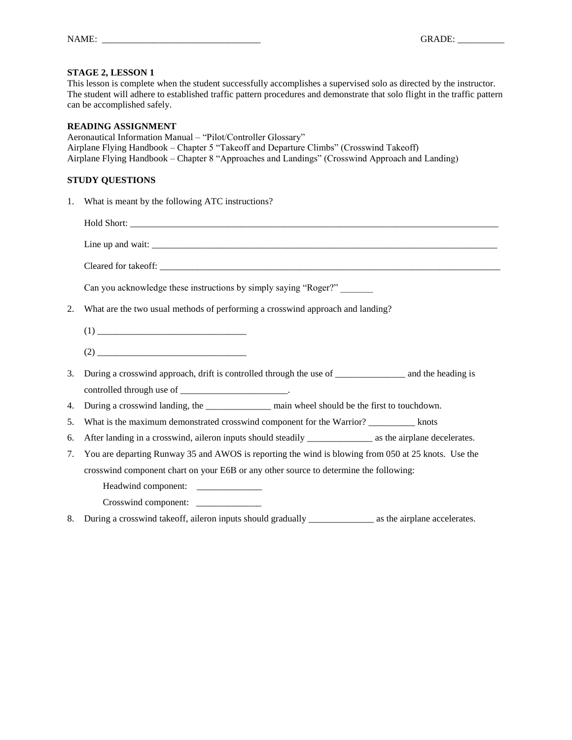This lesson is complete when the student successfully accomplishes a supervised solo as directed by the instructor. The student will adhere to established traffic pattern procedures and demonstrate that solo flight in the traffic pattern can be accomplished safely.

#### **READING ASSIGNMENT**

Aeronautical Information Manual – "Pilot/Controller Glossary" Airplane Flying Handbook – Chapter 5 "Takeoff and Departure Climbs" (Crosswind Takeoff) Airplane Flying Handbook – Chapter 8 "Approaches and Landings" (Crosswind Approach and Landing)

# **STUDY QUESTIONS**

1. What is meant by the following ATC instructions?

Hold Short: \_\_\_\_\_\_\_\_\_\_\_\_\_\_\_\_\_\_\_\_\_\_\_\_\_\_\_\_\_\_\_\_\_\_\_\_\_\_\_\_\_\_\_\_\_\_\_\_\_\_\_\_\_\_\_\_\_\_\_\_\_\_\_\_\_\_\_\_\_\_\_\_\_\_\_\_\_\_\_ Line up and wait: \_\_\_\_\_\_\_\_\_\_\_\_\_\_\_\_\_\_\_\_\_\_\_\_\_\_\_\_\_\_\_\_\_\_\_\_\_\_\_\_\_\_\_\_\_\_\_\_\_\_\_\_\_\_\_\_\_\_\_\_\_\_\_\_\_\_\_\_\_\_\_\_\_\_

Cleared for takeoff:

Can you acknowledge these instructions by simply saying "Roger?"

- 2. What are the two usual methods of performing a crosswind approach and landing?
	- $(1)$
	- (2) \_\_\_\_\_\_\_\_\_\_\_\_\_\_\_\_\_\_\_\_\_\_\_\_\_\_\_\_\_\_\_\_
- 3. During a crosswind approach, drift is controlled through the use of \_\_\_\_\_\_\_\_\_\_\_\_\_\_\_ and the heading is controlled through use of \_\_\_\_\_\_\_\_\_\_\_\_\_\_\_\_\_\_\_\_\_\_\_.
- 4. During a crosswind landing, the \_\_\_\_\_\_\_\_\_\_\_\_\_\_\_\_\_\_\_\_\_ main wheel should be the first to touchdown.
- 5. What is the maximum demonstrated crosswind component for the Warrior? knots
- 6. After landing in a crosswind, aileron inputs should steadily as the airplane decelerates.
- 7. You are departing Runway 35 and AWOS is reporting the wind is blowing from 050 at 25 knots. Use the crosswind component chart on your E6B or any other source to determine the following:
	- Headwind component: \_\_\_\_\_\_\_\_\_\_\_\_\_\_\_
	- Crosswind component:
- 8. During a crosswind takeoff, aileron inputs should gradually \_\_\_\_\_\_\_\_\_\_\_\_\_\_\_\_ as the airplane accelerates.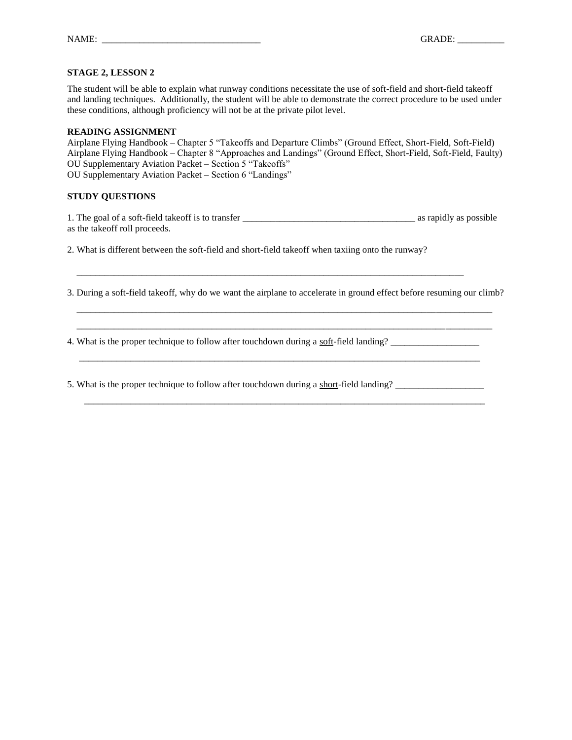The student will be able to explain what runway conditions necessitate the use of soft-field and short-field takeoff and landing techniques. Additionally, the student will be able to demonstrate the correct procedure to be used under these conditions, although proficiency will not be at the private pilot level.

#### **READING ASSIGNMENT**

Airplane Flying Handbook – Chapter 5 "Takeoffs and Departure Climbs" (Ground Effect, Short-Field, Soft-Field) Airplane Flying Handbook – Chapter 8 "Approaches and Landings" (Ground Effect, Short-Field, Soft-Field, Faulty) OU Supplementary Aviation Packet – Section 5 "Takeoffs" OU Supplementary Aviation Packet – Section 6 "Landings"

#### **STUDY QUESTIONS**

1. The goal of a soft-field takeoff is to transfer \_\_\_\_\_\_\_\_\_\_\_\_\_\_\_\_\_\_\_\_\_\_\_\_\_\_\_\_\_\_\_\_\_\_\_\_\_ as rapidly as possible as the takeoff roll proceeds.

2. What is different between the soft-field and short-field takeoff when taxiing onto the runway?

\_\_\_\_\_\_\_\_\_\_\_\_\_\_\_\_\_\_\_\_\_\_\_\_\_\_\_\_\_\_\_\_\_\_\_\_\_\_\_\_\_\_\_\_\_\_\_\_\_\_\_\_\_\_\_\_\_\_\_\_\_\_\_\_\_\_\_\_\_\_\_\_\_\_\_\_\_\_\_\_\_\_\_

3. During a soft-field takeoff, why do we want the airplane to accelerate in ground effect before resuming our climb?

 \_\_\_\_\_\_\_\_\_\_\_\_\_\_\_\_\_\_\_\_\_\_\_\_\_\_\_\_\_\_\_\_\_\_\_\_\_\_\_\_\_\_\_\_\_\_\_\_\_\_\_\_\_\_\_\_\_\_\_\_\_\_\_\_\_\_\_\_\_\_\_\_\_\_\_\_\_\_\_\_\_\_\_\_\_\_\_\_\_ \_\_\_\_\_\_\_\_\_\_\_\_\_\_\_\_\_\_\_\_\_\_\_\_\_\_\_\_\_\_\_\_\_\_\_\_\_\_\_\_\_\_\_\_\_\_\_\_\_\_\_\_\_\_\_\_\_\_\_\_\_\_\_\_\_\_\_\_\_\_\_\_\_\_\_\_\_\_\_\_\_\_\_\_\_\_\_\_\_

4. What is the proper technique to follow after touchdown during a soft-field landing? \_\_\_\_\_\_\_\_\_\_\_\_\_\_\_\_\_\_\_

5. What is the proper technique to follow after touchdown during a short-field landing? \_\_\_\_\_\_\_\_\_\_\_\_\_\_\_\_\_\_\_\_\_\_

 $\overline{\phantom{a}}$  ,  $\overline{\phantom{a}}$  ,  $\overline{\phantom{a}}$  ,  $\overline{\phantom{a}}$  ,  $\overline{\phantom{a}}$  ,  $\overline{\phantom{a}}$  ,  $\overline{\phantom{a}}$  ,  $\overline{\phantom{a}}$  ,  $\overline{\phantom{a}}$  ,  $\overline{\phantom{a}}$  ,  $\overline{\phantom{a}}$  ,  $\overline{\phantom{a}}$  ,  $\overline{\phantom{a}}$  ,  $\overline{\phantom{a}}$  ,  $\overline{\phantom{a}}$  ,  $\overline{\phantom{a}}$ 

\_\_\_\_\_\_\_\_\_\_\_\_\_\_\_\_\_\_\_\_\_\_\_\_\_\_\_\_\_\_\_\_\_\_\_\_\_\_\_\_\_\_\_\_\_\_\_\_\_\_\_\_\_\_\_\_\_\_\_\_\_\_\_\_\_\_\_\_\_\_\_\_\_\_\_\_\_\_\_\_\_\_\_\_\_\_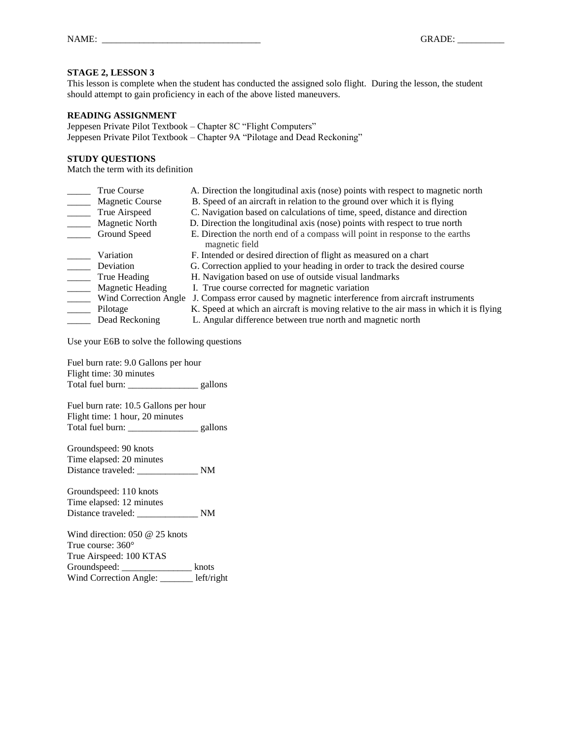This lesson is complete when the student has conducted the assigned solo flight. During the lesson, the student should attempt to gain proficiency in each of the above listed maneuvers.

#### **READING ASSIGNMENT**

Jeppesen Private Pilot Textbook – Chapter 8C "Flight Computers" Jeppesen Private Pilot Textbook – Chapter 9A "Pilotage and Dead Reckoning"

### **STUDY QUESTIONS**

Match the term with its definition

| True Course             | A. Direction the longitudinal axis (nose) points with respect to magnetic north                |
|-------------------------|------------------------------------------------------------------------------------------------|
| <b>Magnetic Course</b>  | B. Speed of an aircraft in relation to the ground over which it is flying                      |
| True Airspeed           | C. Navigation based on calculations of time, speed, distance and direction                     |
| <b>Magnetic North</b>   | D. Direction the longitudinal axis (nose) points with respect to true north                    |
| Ground Speed            | E. Direction the north end of a compass will point in response to the earths<br>magnetic field |
| Variation               | F. Intended or desired direction of flight as measured on a chart                              |
| Deviation               | G. Correction applied to your heading in order to track the desired course                     |
| True Heading            | H. Navigation based on use of outside visual landmarks                                         |
| <b>Magnetic Heading</b> | I. True course corrected for magnetic variation                                                |
| Wind Correction Angle   | J. Compass error caused by magnetic interference from aircraft instruments                     |
| Pilotage                | K. Speed at which an aircraft is moving relative to the air mass in which it is flying         |
| Dead Reckoning          | L. Angular difference between true north and magnetic north                                    |

Use your E6B to solve the following questions

Fuel burn rate: 9.0 Gallons per hour Flight time: 30 minutes Total fuel burn: \_\_\_\_\_\_\_\_\_\_\_\_\_\_\_ gallons

Fuel burn rate: 10.5 Gallons per hour Flight time: 1 hour, 20 minutes Total fuel burn: \_\_\_\_\_\_\_\_\_\_\_\_\_\_\_\_\_\_\_ gallons

Groundspeed: 90 knots Time elapsed: 20 minutes Distance traveled: \_\_\_\_\_\_\_\_\_\_\_\_\_\_\_\_\_ NM

Groundspeed: 110 knots Time elapsed: 12 minutes Distance traveled: \_\_\_\_\_\_\_\_\_\_\_\_\_ NM

Wind direction: 050 @ 25 knots True course: 360° True Airspeed: 100 KTAS Groundspeed: \_\_\_\_\_\_\_\_\_\_\_\_\_\_\_\_\_\_\_\_ knots Wind Correction Angle: \_\_\_\_\_\_\_ left/right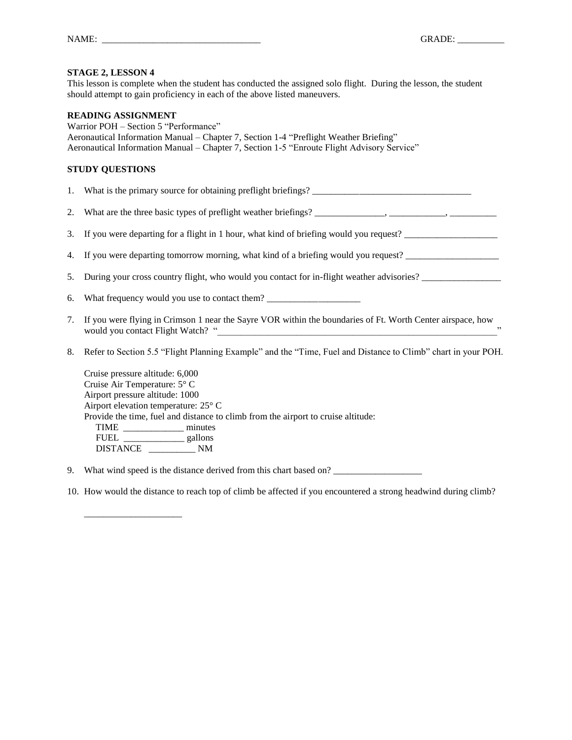This lesson is complete when the student has conducted the assigned solo flight. During the lesson, the student should attempt to gain proficiency in each of the above listed maneuvers.

#### **READING ASSIGNMENT**

\_\_\_\_\_\_\_\_\_\_\_\_\_\_\_\_\_\_\_\_\_

Warrior POH – Section 5 "Performance" Aeronautical Information Manual – Chapter 7, Section 1-4 "Preflight Weather Briefing" Aeronautical Information Manual – Chapter 7, Section 1-5 "Enroute Flight Advisory Service"

# **STUDY QUESTIONS**

1. What is the primary source for obtaining preflight briefings?

- 2. What are the three basic types of preflight weather briefings? \_\_\_\_\_\_\_\_\_\_\_\_\_\_\_, \_\_\_\_\_\_\_\_\_\_\_\_, \_\_\_\_\_\_\_\_\_\_
- 3. If you were departing for a flight in 1 hour, what kind of briefing would you request?
- 4. If you were departing tomorrow morning, what kind of a briefing would you request? \_\_\_\_\_\_\_\_\_\_\_\_\_\_\_\_\_\_\_\_
- 5. During your cross country flight, who would you contact for in-flight weather advisories? \_\_\_\_\_\_\_\_\_\_\_\_\_\_\_\_\_
- 6. What frequency would you use to contact them?
- 7. If you were flying in Crimson 1 near the Sayre VOR within the boundaries of Ft. Worth Center airspace, how would you contact Flight Watch? "\_\_\_\_\_\_\_\_\_\_\_\_\_\_\_\_\_\_\_\_\_\_\_\_\_\_\_\_\_\_\_\_\_\_\_\_\_\_\_\_\_\_\_\_\_\_\_\_\_\_\_\_\_\_\_\_\_\_\_\_"
- 8. Refer to Section 5.5 "Flight Planning Example" and the "Time, Fuel and Distance to Climb" chart in your POH.

Cruise pressure altitude: 6,000 Cruise Air Temperature: 5° C Airport pressure altitude: 1000 Airport elevation temperature: 25° C Provide the time, fuel and distance to climb from the airport to cruise altitude: TIME \_\_\_\_\_\_\_\_\_\_\_\_\_ minutes FUEL gallons DISTANCE \_\_\_\_\_\_\_\_\_\_ NM

9. What wind speed is the distance derived from this chart based on?

10. How would the distance to reach top of climb be affected if you encountered a strong headwind during climb?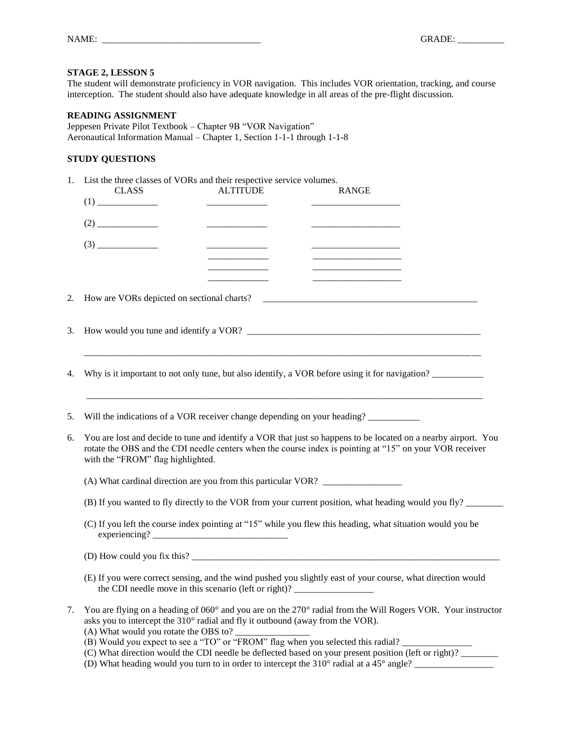| NAME: |  |  |  |
|-------|--|--|--|
|       |  |  |  |

The student will demonstrate proficiency in VOR navigation. This includes VOR orientation, tracking, and course interception. The student should also have adequate knowledge in all areas of the pre-flight discussion.

#### **READING ASSIGNMENT**

Jeppesen Private Pilot Textbook – Chapter 9B "VOR Navigation" Aeronautical Information Manual – Chapter 1, Section 1-1-1 through 1-1-8

| 1. | List the three classes of VORs and their respective service volumes.<br><b>ALTITUDE</b><br><b>CLASS</b><br><b>RANGE</b>                                                                                                                                         |  |  |  |  |  |
|----|-----------------------------------------------------------------------------------------------------------------------------------------------------------------------------------------------------------------------------------------------------------------|--|--|--|--|--|
|    |                                                                                                                                                                                                                                                                 |  |  |  |  |  |
|    | <u> 1980 - John Barbara (</u>                                                                                                                                                                                                                                   |  |  |  |  |  |
|    |                                                                                                                                                                                                                                                                 |  |  |  |  |  |
| 2. |                                                                                                                                                                                                                                                                 |  |  |  |  |  |
| 3. |                                                                                                                                                                                                                                                                 |  |  |  |  |  |
| 4. | Why is it important to not only tune, but also identify, a VOR before using it for navigation?                                                                                                                                                                  |  |  |  |  |  |
| 5. | Will the indications of a VOR receiver change depending on your heading?                                                                                                                                                                                        |  |  |  |  |  |
| 6. | You are lost and decide to tune and identify a VOR that just so happens to be located on a nearby airport. You<br>rotate the OBS and the CDI needle centers when the course index is pointing at "15" on your VOR receiver<br>with the "FROM" flag highlighted. |  |  |  |  |  |
|    | (A) What cardinal direction are you from this particular VOR?                                                                                                                                                                                                   |  |  |  |  |  |
|    | (B) If you wanted to fly directly to the VOR from your current position, what heading would you fly?                                                                                                                                                            |  |  |  |  |  |
|    | (C) If you left the course index pointing at "15" while you flew this heading, what situation would you be<br>experiencing?                                                                                                                                     |  |  |  |  |  |
|    |                                                                                                                                                                                                                                                                 |  |  |  |  |  |
|    | (E) If you were correct sensing, and the wind pushed you slightly east of your course, what direction would<br>the CDI needle move in this scenario (left or right)? ___________________________                                                                |  |  |  |  |  |
| 7. | You are flying on a heading of 060° and you are on the 270° radial from the Will Rogers VOR. Your instructor<br>asks you to intercept the 310° radial and fly it outbound (away from the VOR).                                                                  |  |  |  |  |  |

- (A) What would you rotate the OBS to?
- (B) Would you expect to see a "TO" or "FROM" flag when you selected this radial?
- (C) What direction would the CDI needle be deflected based on your present position (left or right)? \_\_\_\_\_\_\_\_
- (D) What heading would you turn to in order to intercept the  $310^{\circ}$  radial at a  $45^{\circ}$  angle?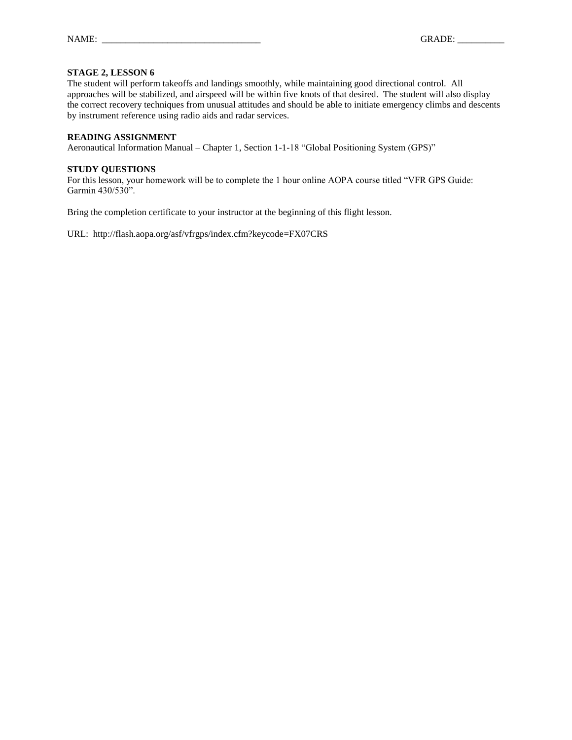The student will perform takeoffs and landings smoothly, while maintaining good directional control. All approaches will be stabilized, and airspeed will be within five knots of that desired. The student will also display the correct recovery techniques from unusual attitudes and should be able to initiate emergency climbs and descents by instrument reference using radio aids and radar services.

#### **READING ASSIGNMENT**

Aeronautical Information Manual – Chapter 1, Section 1-1-18 "Global Positioning System (GPS)"

# **STUDY QUESTIONS**

For this lesson, your homework will be to complete the 1 hour online AOPA course titled "VFR GPS Guide: Garmin 430/530".

Bring the completion certificate to your instructor at the beginning of this flight lesson.

URL: http://flash.aopa.org/asf/vfrgps/index.cfm?keycode=FX07CRS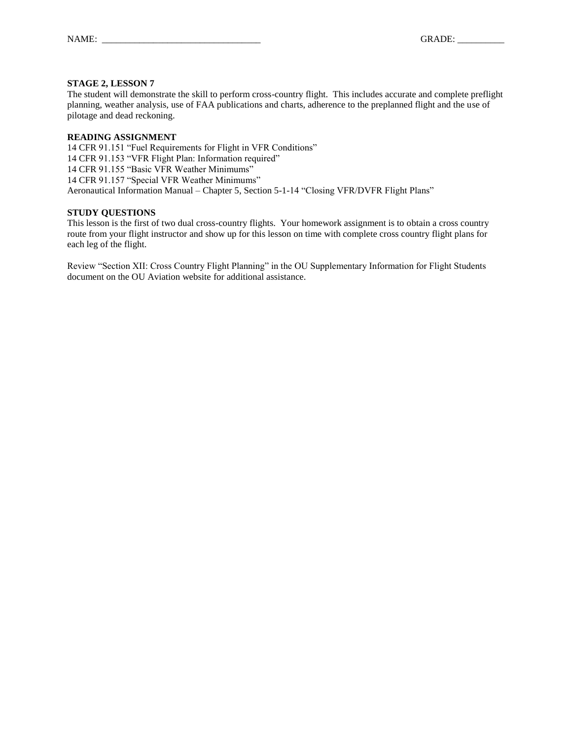The student will demonstrate the skill to perform cross-country flight. This includes accurate and complete preflight planning, weather analysis, use of FAA publications and charts, adherence to the preplanned flight and the use of pilotage and dead reckoning.

### **READING ASSIGNMENT**

14 CFR 91.151 "Fuel Requirements for Flight in VFR Conditions" 14 CFR 91.153 "VFR Flight Plan: Information required" 14 CFR 91.155 "Basic VFR Weather Minimums" 14 CFR 91.157 "Special VFR Weather Minimums" Aeronautical Information Manual – Chapter 5, Section 5-1-14 "Closing VFR/DVFR Flight Plans"

# **STUDY QUESTIONS**

This lesson is the first of two dual cross-country flights. Your homework assignment is to obtain a cross country route from your flight instructor and show up for this lesson on time with complete cross country flight plans for each leg of the flight.

Review "Section XII: Cross Country Flight Planning" in the OU Supplementary Information for Flight Students document on the OU Aviation website for additional assistance.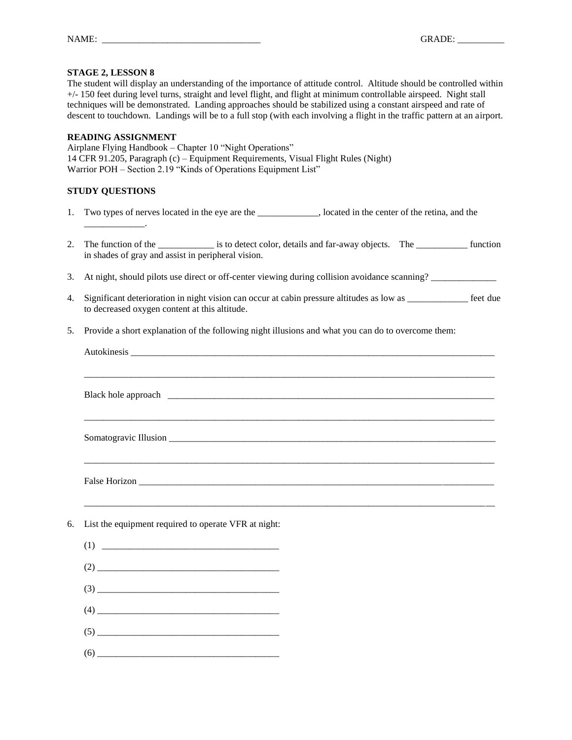The student will display an understanding of the importance of attitude control. Altitude should be controlled within +/- 150 feet during level turns, straight and level flight, and flight at minimum controllable airspeed. Night stall techniques will be demonstrated. Landing approaches should be stabilized using a constant airspeed and rate of descent to touchdown. Landings will be to a full stop (with each involving a flight in the traffic pattern at an airport.

#### **READING ASSIGNMENT**

Airplane Flying Handbook – Chapter 10 "Night Operations" 14 CFR 91.205, Paragraph (c) – Equipment Requirements, Visual Flight Rules (Night) Warrior POH – Section 2.19 "Kinds of Operations Equipment List"

# **STUDY QUESTIONS**

\_\_\_\_\_\_\_\_\_\_\_\_\_.

- 1. Two types of nerves located in the eye are the \_\_\_\_\_\_\_\_\_\_\_\_\_, located in the center of the retina, and the
- 2. The function of the is to detect color, details and far-away objects. The \_\_\_\_\_\_\_\_\_ function in shades of gray and assist in peripheral vision.
- 3. At night, should pilots use direct or off-center viewing during collision avoidance scanning?
- 4. Significant deterioration in night vision can occur at cabin pressure altitudes as low as \_\_\_\_\_\_\_\_\_\_\_\_\_ feet due to decreased oxygen content at this altitude.
- 5. Provide a short explanation of the following night illusions and what you can do to overcome them:

| 6. | List the equipment required to operate VFR at night:                                |
|----|-------------------------------------------------------------------------------------|
|    |                                                                                     |
|    |                                                                                     |
|    | $(3) \qquad \qquad \overbrace{\qquad \qquad }$                                      |
|    | $\qquad \qquad (4) \qquad \qquad \overbrace{\qquad \qquad }^{(4)} \qquad \qquad \\$ |
|    | $(5)$                                                                               |

(6) \_\_\_\_\_\_\_\_\_\_\_\_\_\_\_\_\_\_\_\_\_\_\_\_\_\_\_\_\_\_\_\_\_\_\_\_\_\_\_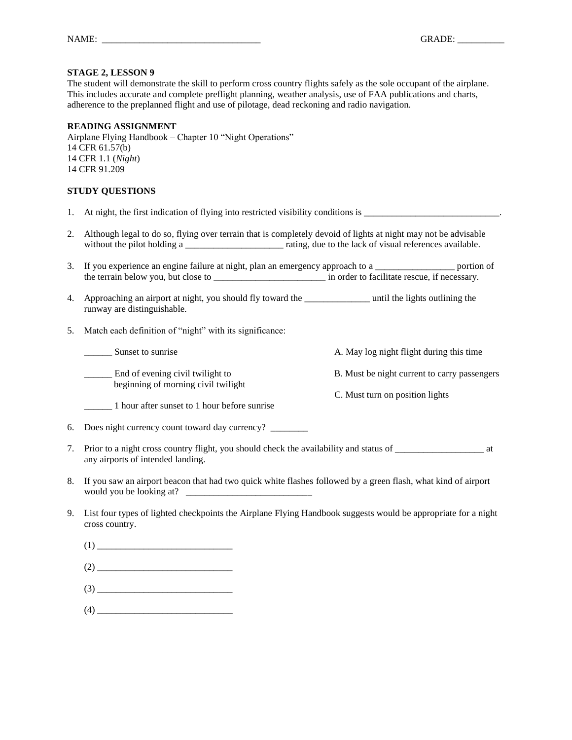The student will demonstrate the skill to perform cross country flights safely as the sole occupant of the airplane. This includes accurate and complete preflight planning, weather analysis, use of FAA publications and charts, adherence to the preplanned flight and use of pilotage, dead reckoning and radio navigation.

#### **READING ASSIGNMENT**

Airplane Flying Handbook – Chapter 10 "Night Operations" 14 CFR 61.57(b) 14 CFR 1.1 (*Night*) 14 CFR 91.209

#### **STUDY QUESTIONS**

- 1. At night, the first indication of flying into restricted visibility conditions is \_\_\_\_\_\_\_\_\_\_\_\_\_\_\_\_\_\_\_\_\_\_\_\_\_\_\_\_\_.
- 2. Although legal to do so, flying over terrain that is completely devoid of lights at night may not be advisable without the pilot holding a \_\_\_\_\_\_\_\_\_\_\_\_\_\_\_\_\_\_\_\_\_\_\_\_ rating, due to the lack of visual references available.
- 3. If you experience an engine failure at night, plan an emergency approach to a \_\_\_\_\_\_\_\_\_\_\_\_\_\_\_\_\_\_ portion of the terrain below you, but close to \_\_\_\_\_\_\_\_\_\_\_\_\_\_\_\_\_\_\_\_\_\_\_\_ in order to facilitate rescue, if necessary.
- 4. Approaching an airport at night, you should fly toward the \_\_\_\_\_\_\_\_\_\_\_\_\_\_ until the lights outlining the runway are distinguishable.
- 5. Match each definition of "night" with its significance:

\_\_\_\_\_\_ Sunset to sunrise A. May log night flight during this time End of evening civil twilight to B. Must be night current to carry passengers beginning of morning civil twilight C. Must turn on position lights \_\_\_\_\_\_ 1 hour after sunset to 1 hour before sunrise

6. Does night currency count toward day currency? \_\_\_\_\_\_\_\_

- 7. Prior to a night cross country flight, you should check the availability and status of \_\_\_\_\_\_\_\_\_\_\_\_\_\_\_\_\_\_\_ at any airports of intended landing.
- 8. If you saw an airport beacon that had two quick white flashes followed by a green flash, what kind of airport would you be looking at? \_\_\_\_\_\_\_\_\_\_\_\_\_\_\_\_\_\_\_\_\_\_\_\_\_\_\_
- 9. List four types of lighted checkpoints the Airplane Flying Handbook suggests would be appropriate for a night cross country.
	- (1) \_\_\_\_\_\_\_\_\_\_\_\_\_\_\_\_\_\_\_\_\_\_\_\_\_\_\_\_\_  $(2)$ (3) \_\_\_\_\_\_\_\_\_\_\_\_\_\_\_\_\_\_\_\_\_\_\_\_\_\_\_\_\_
	- (4) \_\_\_\_\_\_\_\_\_\_\_\_\_\_\_\_\_\_\_\_\_\_\_\_\_\_\_\_\_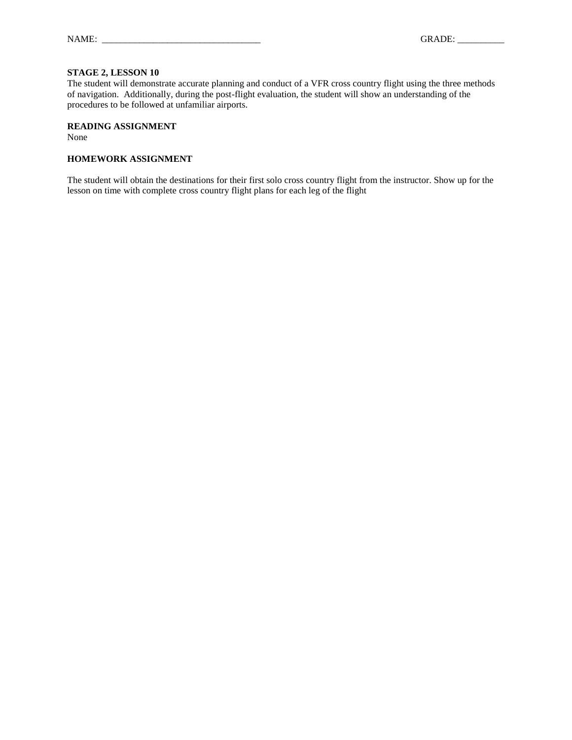The student will demonstrate accurate planning and conduct of a VFR cross country flight using the three methods of navigation. Additionally, during the post-flight evaluation, the student will show an understanding of the procedures to be followed at unfamiliar airports.

# **READING ASSIGNMENT**

None

#### **HOMEWORK ASSIGNMENT**

The student will obtain the destinations for their first solo cross country flight from the instructor. Show up for the lesson on time with complete cross country flight plans for each leg of the flight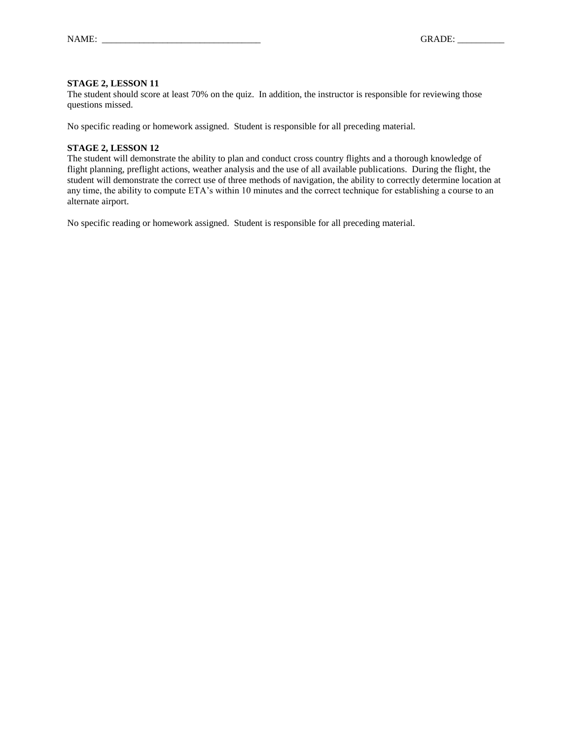The student should score at least 70% on the quiz. In addition, the instructor is responsible for reviewing those questions missed.

No specific reading or homework assigned. Student is responsible for all preceding material.

#### **STAGE 2, LESSON 12**

The student will demonstrate the ability to plan and conduct cross country flights and a thorough knowledge of flight planning, preflight actions, weather analysis and the use of all available publications. During the flight, the student will demonstrate the correct use of three methods of navigation, the ability to correctly determine location at any time, the ability to compute ETA's within 10 minutes and the correct technique for establishing a course to an alternate airport.

No specific reading or homework assigned. Student is responsible for all preceding material.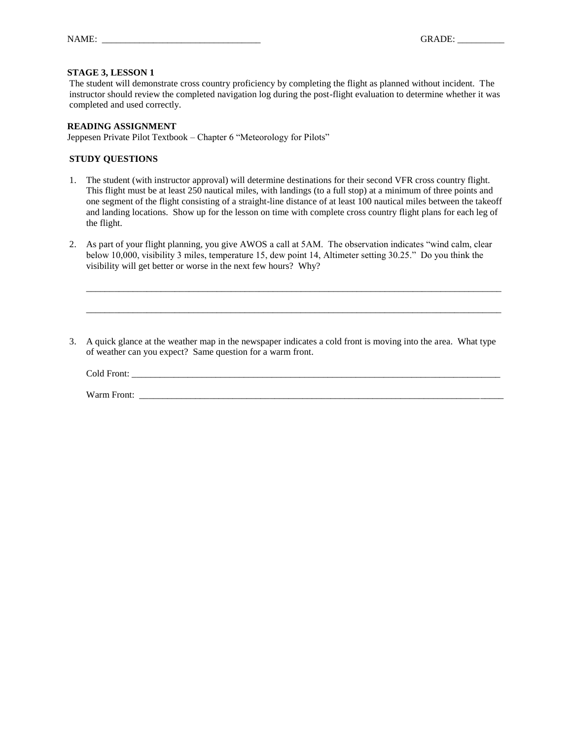The student will demonstrate cross country proficiency by completing the flight as planned without incident. The instructor should review the completed navigation log during the post-flight evaluation to determine whether it was completed and used correctly.

#### **READING ASSIGNMENT**

Jeppesen Private Pilot Textbook – Chapter 6 "Meteorology for Pilots"

#### **STUDY QUESTIONS**

- 1. The student (with instructor approval) will determine destinations for their second VFR cross country flight. This flight must be at least 250 nautical miles, with landings (to a full stop) at a minimum of three points and one segment of the flight consisting of a straight-line distance of at least 100 nautical miles between the takeoff and landing locations. Show up for the lesson on time with complete cross country flight plans for each leg of the flight.
- 2. As part of your flight planning, you give AWOS a call at 5AM. The observation indicates "wind calm, clear below 10,000, visibility 3 miles, temperature 15, dew point 14, Altimeter setting 30.25." Do you think the visibility will get better or worse in the next few hours? Why?
- 3. A quick glance at the weather map in the newspaper indicates a cold front is moving into the area. What type of weather can you expect? Same question for a warm front.

Cold Front: \_\_\_\_\_\_\_\_\_\_\_\_\_\_\_\_\_\_\_\_\_\_\_\_\_\_\_\_\_\_\_\_\_\_\_\_\_\_\_\_\_\_\_\_\_\_\_\_\_\_\_\_\_\_\_\_\_\_\_\_\_\_\_\_\_\_\_\_\_\_\_\_\_\_\_\_\_\_\_

\_\_\_\_\_\_\_\_\_\_\_\_\_\_\_\_\_\_\_\_\_\_\_\_\_\_\_\_\_\_\_\_\_\_\_\_\_\_\_\_\_\_\_\_\_\_\_\_\_\_\_\_\_\_\_\_\_\_\_\_\_\_\_\_\_\_\_\_\_\_\_\_\_\_\_\_\_\_\_\_\_\_\_\_\_\_\_\_\_

\_\_\_\_\_\_\_\_\_\_\_\_\_\_\_\_\_\_\_\_\_\_\_\_\_\_\_\_\_\_\_\_\_\_\_\_\_\_\_\_\_\_\_\_\_\_\_\_\_\_\_\_\_\_\_\_\_\_\_\_\_\_\_\_\_\_\_\_\_\_\_\_\_\_\_\_\_\_\_\_\_\_\_\_\_\_\_\_\_

Warm Front: \_\_\_\_\_\_\_\_\_\_\_\_\_\_\_\_\_\_\_\_\_\_\_\_\_\_\_\_\_\_\_\_\_\_\_\_\_\_\_\_\_\_\_\_\_\_\_\_\_\_\_\_\_\_\_\_\_\_\_\_\_\_\_\_\_\_\_\_\_\_\_\_\_\_\_\_\_\_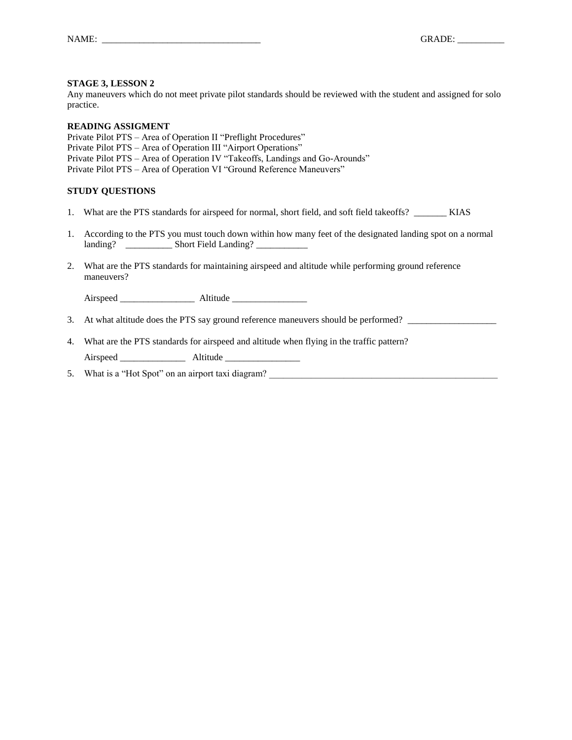Any maneuvers which do not meet private pilot standards should be reviewed with the student and assigned for solo practice.

#### **READING ASSIGMENT**

Private Pilot PTS – Area of Operation II "Preflight Procedures" Private Pilot PTS – Area of Operation III "Airport Operations" Private Pilot PTS – Area of Operation IV "Takeoffs, Landings and Go-Arounds" Private Pilot PTS – Area of Operation VI "Ground Reference Maneuvers"

### **STUDY QUESTIONS**

- 1. What are the PTS standards for airspeed for normal, short field, and soft field takeoffs? \_\_\_\_\_\_\_\_ KIAS
- 1. According to the PTS you must touch down within how many feet of the designated landing spot on a normal landing? \_\_\_\_\_\_\_\_\_\_\_\_ Short Field Landing?
- 2. What are the PTS standards for maintaining airspeed and altitude while performing ground reference maneuvers?

Airspeed \_\_\_\_\_\_\_\_\_\_\_\_\_\_\_\_ Altitude \_\_\_\_\_\_\_\_\_\_\_\_\_\_\_\_

- 3. At what altitude does the PTS say ground reference maneuvers should be performed? \_\_\_\_\_\_\_\_\_\_\_\_\_\_\_\_\_\_\_
- 4. What are the PTS standards for airspeed and altitude when flying in the traffic pattern?

Airspeed **Altitude** 

5. What is a "Hot Spot" on an airport taxi diagram?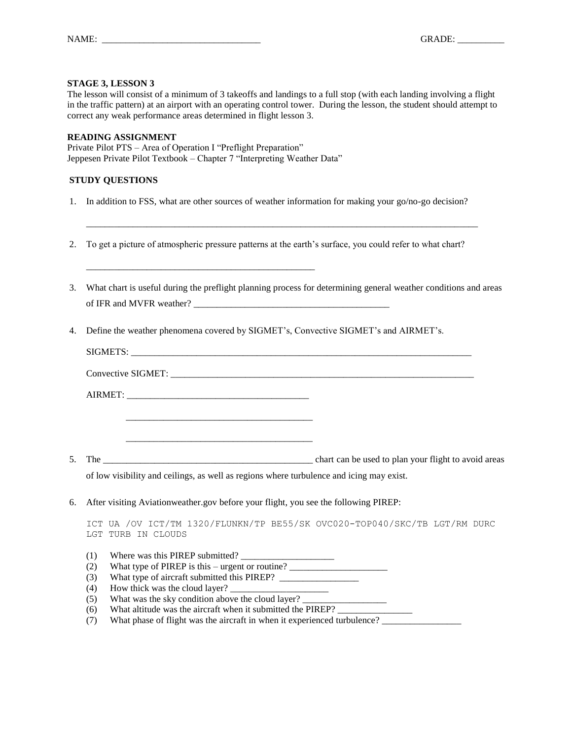The lesson will consist of a minimum of 3 takeoffs and landings to a full stop (with each landing involving a flight in the traffic pattern) at an airport with an operating control tower. During the lesson, the student should attempt to correct any weak performance areas determined in flight lesson 3.

#### **READING ASSIGNMENT**

Private Pilot PTS – Area of Operation I "Preflight Preparation" Jeppesen Private Pilot Textbook – Chapter 7 "Interpreting Weather Data"

\_\_\_\_\_\_\_\_\_\_\_\_\_\_\_\_\_\_\_\_\_\_\_\_\_\_\_\_\_\_\_\_\_\_\_\_\_\_\_\_\_\_\_\_\_\_\_\_\_

# **STUDY QUESTIONS**

1. In addition to FSS, what are other sources of weather information for making your go/no-go decision?

\_\_\_\_\_\_\_\_\_\_\_\_\_\_\_\_\_\_\_\_\_\_\_\_\_\_\_\_\_\_\_\_\_\_\_\_\_\_\_\_\_\_\_\_\_\_\_\_\_\_\_\_\_\_\_\_\_\_\_\_\_\_\_\_\_\_\_\_\_\_\_\_\_\_\_\_\_\_\_\_\_\_\_\_

- 2. To get a picture of atmospheric pressure patterns at the earth's surface, you could refer to what chart?
- 3. What chart is useful during the preflight planning process for determining general weather conditions and areas of IFR and MVFR weather? \_\_\_\_\_\_\_\_\_\_\_\_\_\_\_\_\_\_\_\_\_\_\_\_\_\_\_\_\_\_\_\_\_\_\_\_\_\_\_\_\_\_
- 4. Define the weather phenomena covered by SIGMET's, Convective SIGMET's and AIRMET's.

|    |                                                      | of low visibility and ceilings, as well as regions where turbulence and icing may exist.                                                                     |
|----|------------------------------------------------------|--------------------------------------------------------------------------------------------------------------------------------------------------------------|
| 6. |                                                      | After visiting Aviationweather.gov before your flight, you see the following PIREP:                                                                          |
|    | LGT TURB IN CLOUDS                                   | ICT UA /OV ICT/TM 1320/FLUNKN/TP BE55/SK OVC020-TOP040/SKC/TB LGT/RM DURC                                                                                    |
|    | Where was this PIREP submitted?<br>(1)<br>(2)<br>(3) | What type of PIREP is this – urgent or routine? _________________________________                                                                            |
|    | (4)<br>(5)                                           | What was the sky condition above the cloud layer? _______________________________                                                                            |
|    | (6)<br>(7)                                           | What altitude was the aircraft when it submitted the PIREP? ____________________<br>What phase of flight was the giversit in when it experienced turbulance? |

(7) What phase of flight was the aircraft in when it experienced turbulence? \_\_\_\_\_\_\_\_\_\_\_\_\_\_\_\_\_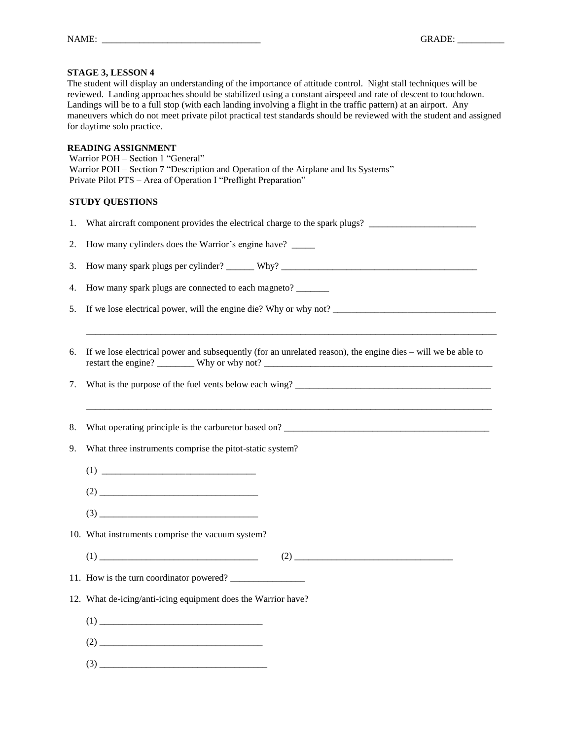The student will display an understanding of the importance of attitude control. Night stall techniques will be reviewed. Landing approaches should be stabilized using a constant airspeed and rate of descent to touchdown. Landings will be to a full stop (with each landing involving a flight in the traffic pattern) at an airport. Any maneuvers which do not meet private pilot practical test standards should be reviewed with the student and assigned for daytime solo practice.

#### **READING ASSIGNMENT**

Warrior POH – Section 1 "General" Warrior POH – Section 7 "Description and Operation of the Airplane and Its Systems" Private Pilot PTS – Area of Operation I "Preflight Preparation"

| 1. | What aircraft component provides the electrical charge to the spark plugs?                                                                                                                                                                                                                                                                                                            |  |  |  |  |
|----|---------------------------------------------------------------------------------------------------------------------------------------------------------------------------------------------------------------------------------------------------------------------------------------------------------------------------------------------------------------------------------------|--|--|--|--|
| 2. | How many cylinders does the Warrior's engine have? _____                                                                                                                                                                                                                                                                                                                              |  |  |  |  |
| 3. |                                                                                                                                                                                                                                                                                                                                                                                       |  |  |  |  |
| 4. | How many spark plugs are connected to each magneto? _______                                                                                                                                                                                                                                                                                                                           |  |  |  |  |
| 5. | If we lose electrical power, will the engine die? Why or why not?                                                                                                                                                                                                                                                                                                                     |  |  |  |  |
|    |                                                                                                                                                                                                                                                                                                                                                                                       |  |  |  |  |
| 6. | If we lose electrical power and subsequently (for an unrelated reason), the engine dies $-$ will we be able to                                                                                                                                                                                                                                                                        |  |  |  |  |
| 7. |                                                                                                                                                                                                                                                                                                                                                                                       |  |  |  |  |
|    |                                                                                                                                                                                                                                                                                                                                                                                       |  |  |  |  |
| 8. |                                                                                                                                                                                                                                                                                                                                                                                       |  |  |  |  |
| 9. | What three instruments comprise the pitot-static system?                                                                                                                                                                                                                                                                                                                              |  |  |  |  |
|    | $(1) \begin{tabular}{c} \hline \rule[1pt]{1em}{1.2pt} \hline \rule[1pt]{1em}{1.2pt} \rule[1pt]{1em}{1.2pt} \rule[1pt]{1em}{1.2pt} \rule[1pt]{1em}{1.2pt} \rule[1pt]{1em}{1.2pt} \rule[1pt]{1em}{1.2pt} \rule[1pt]{1em}{1.2pt} \rule[1pt]{1em}{1.2pt} \rule[1pt]{1em}{1.2pt} \rule[1pt]{1em}{1.2pt} \rule[1pt]{1em}{1.2pt} \rule[1pt]{1em}{1.2pt} \rule[1pt]{1em}{1.2pt} \rule[1pt]{1$ |  |  |  |  |
|    | $(2) \begin{tabular}{@{}c@{}} \hline \rule{0.2cm}{0.2cm} \rule{0.2cm}{0.2cm} \rule{0.2cm}{0.2cm} \rule{0.2cm}{0.2cm} \rule{0.2cm}{0.2cm} \rule{0.2cm}{0.2cm} \rule{0.2cm}{0.2cm} \rule{0.2cm}{0.2cm} \rule{0.2cm}{0.2cm} \rule{0.2cm}{0.2cm} \rule{0.2cm}{0.2cm} \rule{0.2cm}{0.2cm} \rule{0.2cm}{0.2cm} \rule{0.2cm}{0.2cm} \rule{0.2cm}{0.2cm} \rule{0.2cm$                         |  |  |  |  |
|    | $(3) \qquad \qquad \overbrace{\qquad \qquad }$                                                                                                                                                                                                                                                                                                                                        |  |  |  |  |
|    | 10. What instruments comprise the vacuum system?                                                                                                                                                                                                                                                                                                                                      |  |  |  |  |
|    | $(1) \qquad \qquad \overbrace{\qquad \qquad }^{(1)}$                                                                                                                                                                                                                                                                                                                                  |  |  |  |  |
|    |                                                                                                                                                                                                                                                                                                                                                                                       |  |  |  |  |
|    | 12. What de-icing/anti-icing equipment does the Warrior have?                                                                                                                                                                                                                                                                                                                         |  |  |  |  |
|    | (1)                                                                                                                                                                                                                                                                                                                                                                                   |  |  |  |  |
|    | $(2) \qquad \qquad \overbrace{\qquad \qquad }^{(2)}$                                                                                                                                                                                                                                                                                                                                  |  |  |  |  |
|    | $(3) \begin{tabular}{c} \hline \hline \hline \end{tabular}$                                                                                                                                                                                                                                                                                                                           |  |  |  |  |
|    |                                                                                                                                                                                                                                                                                                                                                                                       |  |  |  |  |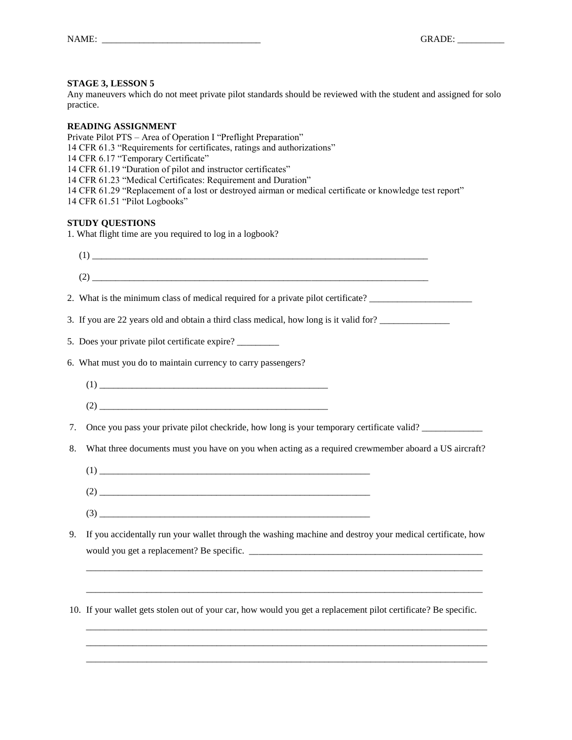Any maneuvers which do not meet private pilot standards should be reviewed with the student and assigned for solo practice.

#### **READING ASSIGNMENT**

Private Pilot PTS – Area of Operation I "Preflight Preparation" 14 CFR 61.3 "Requirements for certificates, ratings and authorizations" 14 CFR 6.17 "Temporary Certificate" 14 CFR 61.19 "Duration of pilot and instructor certificates" 14 CFR 61.23 "Medical Certificates: Requirement and Duration" 14 CFR 61.29 "Replacement of a lost or destroyed airman or medical certificate or knowledge test report" 14 CFR 61.51 "Pilot Logbooks" **STUDY QUESTIONS** 1. What flight time are you required to log in a logbook? (1) \_\_\_\_\_\_\_\_\_\_\_\_\_\_\_\_\_\_\_\_\_\_\_\_\_\_\_\_\_\_\_\_\_\_\_\_\_\_\_\_\_\_\_\_\_\_\_\_\_\_\_\_\_\_\_\_\_\_\_\_\_\_\_\_\_\_\_\_\_\_\_\_  $(2)$   $\overline{\phantom{a}}$ 2. What is the minimum class of medical required for a private pilot certificate? \_\_\_\_\_\_\_\_\_\_\_\_\_\_\_\_\_\_\_\_\_\_ 3. If you are 22 years old and obtain a third class medical, how long is it valid for? \_\_\_\_\_\_\_\_\_\_\_\_\_\_\_

5. Does your private pilot certificate expire? \_\_\_\_\_\_\_\_\_

6. What must you do to maintain currency to carry passengers?

(1) \_\_\_\_\_\_\_\_\_\_\_\_\_\_\_\_\_\_\_\_\_\_\_\_\_\_\_\_\_\_\_\_\_\_\_\_\_\_\_\_\_\_\_\_\_\_\_\_\_

(2) \_\_\_\_\_\_\_\_\_\_\_\_\_\_\_\_\_\_\_\_\_\_\_\_\_\_\_\_\_\_\_\_\_\_\_\_\_\_\_\_\_\_\_\_\_\_\_\_\_

7. Once you pass your private pilot checkride, how long is your temporary certificate valid? \_\_\_\_\_\_\_\_\_\_\_\_\_

- 8. What three documents must you have on you when acting as a required crewmember aboard a US aircraft?
	- $(1)$
	- (2) \_\_\_\_\_\_\_\_\_\_\_\_\_\_\_\_\_\_\_\_\_\_\_\_\_\_\_\_\_\_\_\_\_\_\_\_\_\_\_\_\_\_\_\_\_\_\_\_\_\_\_\_\_\_\_\_\_\_
	- (3) \_\_\_\_\_\_\_\_\_\_\_\_\_\_\_\_\_\_\_\_\_\_\_\_\_\_\_\_\_\_\_\_\_\_\_\_\_\_\_\_\_\_\_\_\_\_\_\_\_\_\_\_\_\_\_\_\_\_
- 9. If you accidentally run your wallet through the washing machine and destroy your medical certificate, how would you get a replacement? Be specific. \_\_\_\_\_\_\_\_\_\_\_\_\_\_\_\_\_\_\_\_\_\_\_\_\_\_\_\_\_\_\_\_\_\_\_\_\_\_\_\_\_\_\_\_\_\_\_\_\_\_

\_\_\_\_\_\_\_\_\_\_\_\_\_\_\_\_\_\_\_\_\_\_\_\_\_\_\_\_\_\_\_\_\_\_\_\_\_\_\_\_\_\_\_\_\_\_\_\_\_\_\_\_\_\_\_\_\_\_\_\_\_\_\_\_\_\_\_\_\_\_\_\_\_\_\_\_\_\_\_\_\_\_\_\_\_

\_\_\_\_\_\_\_\_\_\_\_\_\_\_\_\_\_\_\_\_\_\_\_\_\_\_\_\_\_\_\_\_\_\_\_\_\_\_\_\_\_\_\_\_\_\_\_\_\_\_\_\_\_\_\_\_\_\_\_\_\_\_\_\_\_\_\_\_\_\_\_\_\_\_\_\_\_\_\_\_\_\_\_\_\_

\_\_\_\_\_\_\_\_\_\_\_\_\_\_\_\_\_\_\_\_\_\_\_\_\_\_\_\_\_\_\_\_\_\_\_\_\_\_\_\_\_\_\_\_\_\_\_\_\_\_\_\_\_\_\_\_\_\_\_\_\_\_\_\_\_\_\_\_\_\_\_\_\_\_\_\_\_\_\_\_\_\_\_\_\_\_ \_\_\_\_\_\_\_\_\_\_\_\_\_\_\_\_\_\_\_\_\_\_\_\_\_\_\_\_\_\_\_\_\_\_\_\_\_\_\_\_\_\_\_\_\_\_\_\_\_\_\_\_\_\_\_\_\_\_\_\_\_\_\_\_\_\_\_\_\_\_\_\_\_\_\_\_\_\_\_\_\_\_\_\_\_\_ \_\_\_\_\_\_\_\_\_\_\_\_\_\_\_\_\_\_\_\_\_\_\_\_\_\_\_\_\_\_\_\_\_\_\_\_\_\_\_\_\_\_\_\_\_\_\_\_\_\_\_\_\_\_\_\_\_\_\_\_\_\_\_\_\_\_\_\_\_\_\_\_\_\_\_\_\_\_\_\_\_\_\_\_\_\_

10. If your wallet gets stolen out of your car, how would you get a replacement pilot certificate? Be specific.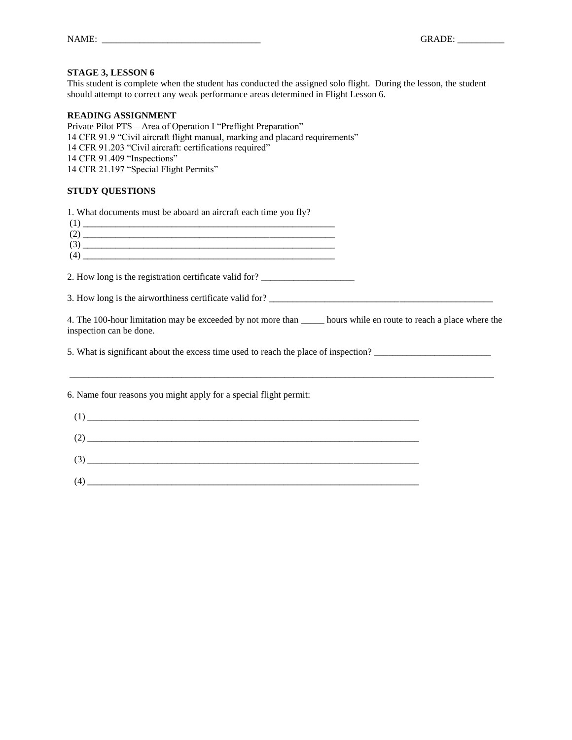This student is complete when the student has conducted the assigned solo flight. During the lesson, the student should attempt to correct any weak performance areas determined in Flight Lesson 6.

#### **READING ASSIGNMENT**

Private Pilot PTS – Area of Operation I "Preflight Preparation" 14 CFR 91.9 "Civil aircraft flight manual, marking and placard requirements" 14 CFR 91.203 "Civil aircraft: certifications required" 14 CFR 91.409 "Inspections" 14 CFR 21.197 "Special Flight Permits"

#### **STUDY QUESTIONS**

1. What documents must be aboard an aircraft each time you fly? (1) \_\_\_\_\_\_\_\_\_\_\_\_\_\_\_\_\_\_\_\_\_\_\_\_\_\_\_\_\_\_\_\_\_\_\_\_\_\_\_\_\_\_\_\_\_\_\_\_\_\_\_\_\_\_ (2) \_\_\_\_\_\_\_\_\_\_\_\_\_\_\_\_\_\_\_\_\_\_\_\_\_\_\_\_\_\_\_\_\_\_\_\_\_\_\_\_\_\_\_\_\_\_\_\_\_\_\_\_\_\_ (3) \_\_\_\_\_\_\_\_\_\_\_\_\_\_\_\_\_\_\_\_\_\_\_\_\_\_\_\_\_\_\_\_\_\_\_\_\_\_\_\_\_\_\_\_\_\_\_\_\_\_\_\_\_\_ (4) \_\_\_\_\_\_\_\_\_\_\_\_\_\_\_\_\_\_\_\_\_\_\_\_\_\_\_\_\_\_\_\_\_\_\_\_\_\_\_\_\_\_\_\_\_\_\_\_\_\_\_\_\_\_ 2. How long is the registration certificate valid for? 3. How long is the airworthiness certificate valid for? 4. The 100-hour limitation may be exceeded by not more than \_\_\_\_\_ hours while en route to reach a place where the inspection can be done. 5. What is significant about the excess time used to reach the place of inspection? \_\_\_\_\_\_\_\_\_\_\_\_\_\_\_\_\_\_\_\_\_\_\_\_\_\_\_\_\_\_\_\_\_\_\_\_\_\_\_\_\_\_\_\_\_\_\_\_\_\_\_\_\_\_\_\_\_\_\_\_\_\_\_\_\_\_\_\_\_\_\_\_\_\_\_\_\_\_\_\_\_\_\_\_\_\_\_\_\_\_\_

6. Name four reasons you might apply for a special flight permit: